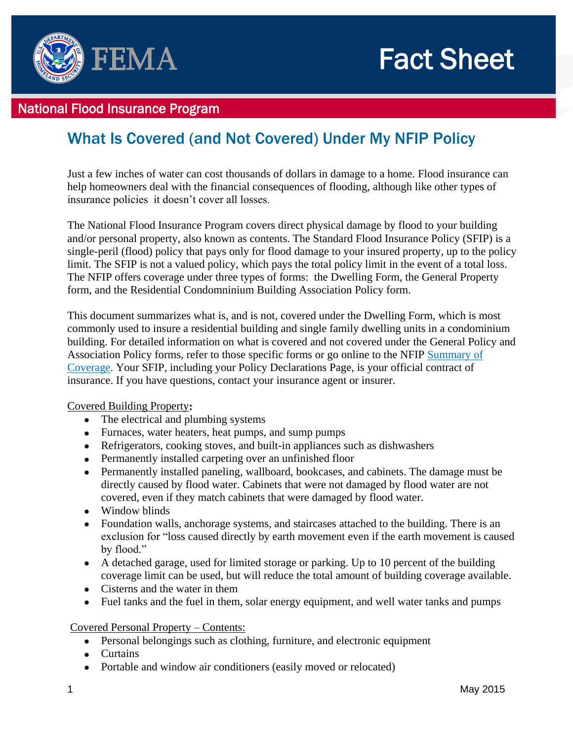

## National Flood Insurance Program

# What Is Covered (and Not Covered) Under My NFIP Policy

 Just a few inches of water can cost thousands of dollars in damage to a home. Flood insurance can help homeowners deal with the financial consequences of flooding, although like other types of insurance policies it doesn't cover all losses.

The National Flood Insurance Program covers direct physical damage by flood to your building and/or personal property, also known as contents. The Standard Flood Insurance Policy (SFIP) is a single-peril (flood) policy that pays only for flood damage to your insured property, up to the policy limit. The SFIP is not a valued policy, which pays the total policy limit in the event of a total loss. The NFIP offers coverage under three types of forms: the Dwelling Form, the General Property form, and the Residential Condomninium Building Association Policy form.

This document summarizes what is, and is not, covered under the Dwelling Form, which is most commonly used to insure a residential building and single family dwelling units in a condominium building. For detailed information on what is covered and not covered under the General Policy and Association Policy forms, refer to those specific forms or go online to the NFIP [Summary of](http://www.fema.gov/media-library-data/20130726-1620-20490-4648/f_679_summaryofcoverage_11_2012.pdf)  [Coverage.](http://www.fema.gov/media-library-data/20130726-1620-20490-4648/f_679_summaryofcoverage_11_2012.pdf) Your SFIP, including your Policy Declarations Page, is your official contract of insurance. If you have questions, contact your insurance agent or insurer.

### Covered Building Property**:**

- The electrical and plumbing systems
- Furnaces, water heaters, heat pumps, and sump pumps
- Refrigerators, cooking stoves, and built-in appliances such as dishwashers
- Permanently installed carpeting over an unfinished floor
- Permanently installed paneling, wallboard, bookcases, and cabinets. The damage must be directly caused by flood water. Cabinets that were not damaged by flood water are not covered, even if they match cabinets that were damaged by flood water.
- Window blinds
- Foundation walls, anchorage systems, and staircases attached to the building. There is an exclusion for "loss caused directly by earth movement even if the earth movement is caused by flood."
- A detached garage, used for limited storage or parking. Up to 10 percent of the building coverage limit can be used, but will reduce the total amount of building coverage available.
- Cisterns and the water in them
- Fuel tanks and the fuel in them, solar energy equipment, and well water tanks and pumps

### Covered Personal Property – Contents:

- Personal belongings such as clothing, furniture, and electronic equipment
- Curtains
- Portable and window air conditioners (easily moved or relocated)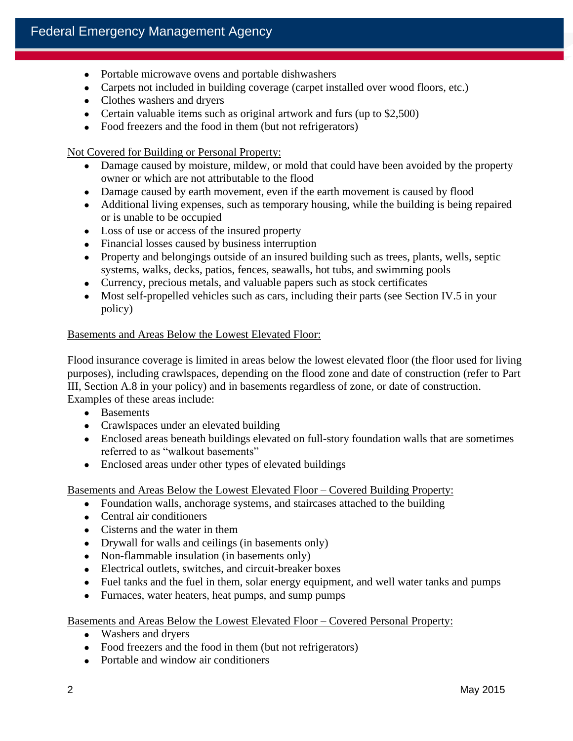- Portable microwave ovens and portable dishwashers
- Carpets not included in building coverage (carpet installed over wood floors, etc.)
- Clothes washers and dryers
- Certain valuable items such as original artwork and furs (up to \$2,500)
- Food freezers and the food in them (but not refrigerators)

Not Covered for Building or Personal Property:

- Damage caused by moisture, mildew, or mold that could have been avoided by the property owner or which are not attributable to the flood
- Damage caused by earth movement, even if the earth movement is caused by flood
- Additional living expenses, such as temporary housing, while the building is being repaired or is unable to be occupied
- Loss of use or access of the insured property
- Financial losses caused by business interruption
- Property and belongings outside of an insured building such as trees, plants, wells, septic systems, walks, decks, patios, fences, seawalls, hot tubs, and swimming pools
- Currency, precious metals, and valuable papers such as stock certificates
- Most self-propelled vehicles such as cars, including their parts (see Section IV.5 in your policy)

### Basements and Areas Below the Lowest Elevated Floor:

 Examples of these areas include: Flood insurance coverage is limited in areas below the lowest elevated floor (the floor used for living purposes), including crawlspaces, depending on the flood zone and date of construction (refer to Part III, Section A.8 in your policy) and in basements regardless of zone, or date of construction.

- Basements
- Crawlspaces under an elevated building
- Enclosed areas beneath buildings elevated on full-story foundation walls that are sometimes referred to as "walkout basements"
- Enclosed areas under other types of elevated buildings

Basements and Areas Below the Lowest Elevated Floor – Covered Building Property:

- Foundation walls, anchorage systems, and staircases attached to the building
- Central air conditioners
- Cisterns and the water in them
- Drywall for walls and ceilings (in basements only)
- Non-flammable insulation (in basements only)
- Electrical outlets, switches, and circuit-breaker boxes
- Fuel tanks and the fuel in them, solar energy equipment, and well water tanks and pumps
- Furnaces, water heaters, heat pumps, and sump pumps

Basements and Areas Below the Lowest Elevated Floor – Covered Personal Property:

- Washers and dryers
- Food freezers and the food in them (but not refrigerators)
- Portable and window air conditioners